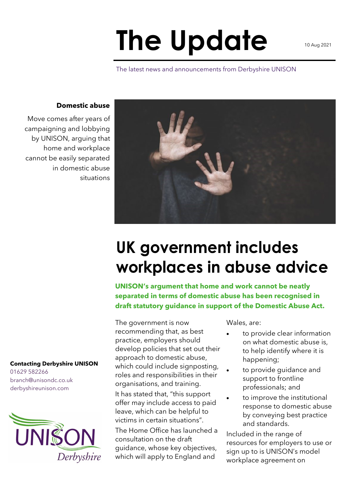## **The Update**

The latest news and announcements from Derbyshire UNISON

## **Domestic abuse**

Move comes after years of campaigning and lobbying by UNISON, arguing that home and workplace cannot be easily separated in domestic abuse situations

> UK government includes workplaces in abuse advice

**UNISON's argument that home and work cannot be neatly separated in terms of domestic abuse has been recognised in draft statutory guidance in support of the Domestic Abuse Act.**

The government is now recommending that, as best practice, employers should develop policies that set out their approach to domestic abuse, which could include signposting, roles and responsibilities in their organisations, and training. It has stated that, "this support offer may include access to paid leave, which can be helpful to victims in certain situations".

The Home Office has launched a consultation on the draft guidance, whose key objectives, which will apply to England and

Wales, are:

- to provide clear information on what domestic abuse is, to help identify where it is happening;
- to provide guidance and support to frontline professionals; and
- to improve the institutional response to domestic abuse by conveying best practice and standards.

Included in the range of resources for employers to use or sign up to is UNISON's model workplace agreement on

## **Contacting Derbyshire UNISON**

01629 582266 branch@unisondc.co.uk derbyshireunison.com